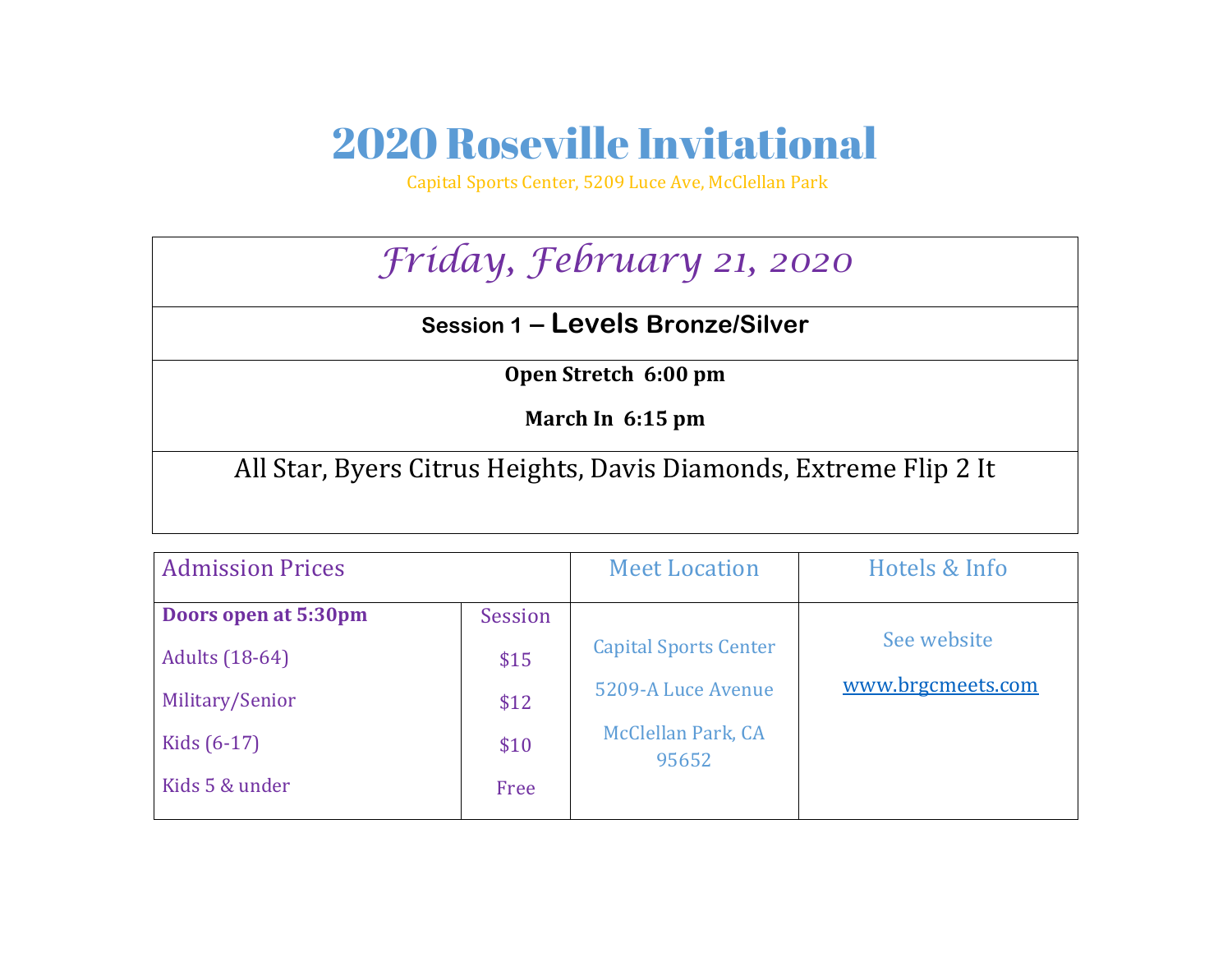## 2020 Roseville Invitational

Capital Sports Center, 5209 Luce Ave, McClellan Park

## *Friday, February 21, 2020*

## **Session 1 – Levels Bronze/Silver**

**Open Stretch 6:00 pm** 

**March In 6:15 pm** 

All Star, Byers Citrus Heights, Davis Diamonds, Extreme Flip 2 It

| <b>Admission Prices</b>                                                           |                         | <b>Meet Location</b>                                                     | Hotels & Info                    |
|-----------------------------------------------------------------------------------|-------------------------|--------------------------------------------------------------------------|----------------------------------|
| Doors open at 5:30pm<br><b>Adults</b> (18-64)<br>Military/Senior<br>Kids $(6-17)$ | Session<br>\$15<br>\$12 | <b>Capital Sports Center</b><br>5209-A Luce Avenue<br>McClellan Park, CA | See website<br>www.brgcmeets.com |
| Kids 5 & under                                                                    | \$10<br>Free            | 95652                                                                    |                                  |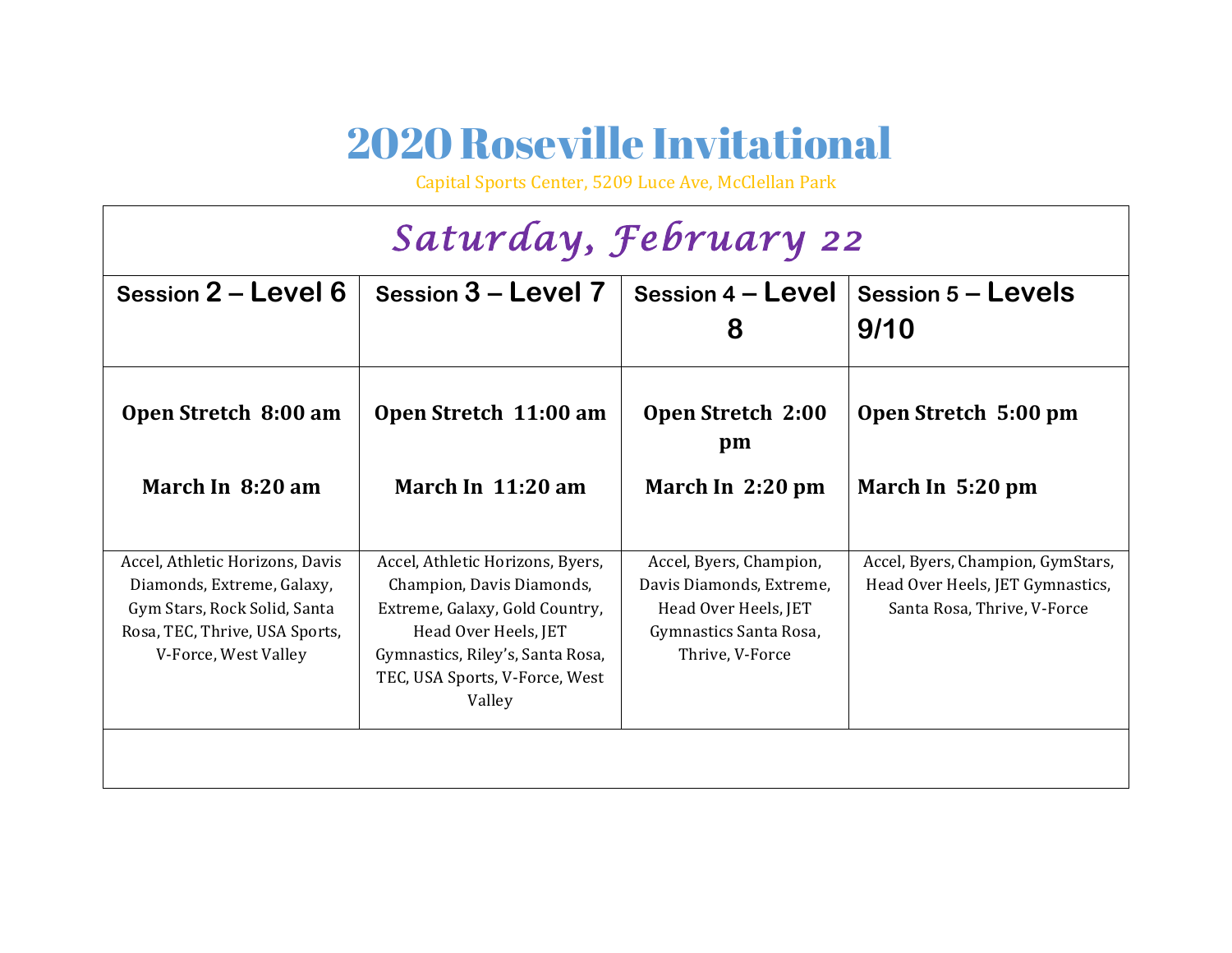## 2020 Roseville Invitational

Capital Sports Center, 5209 Luce Ave, McClellan Park

| Saturday, February 22                                                                                                                                   |                                                                                                                                                                                                         |                                                                                                                          |                                                                                                      |  |  |  |  |  |
|---------------------------------------------------------------------------------------------------------------------------------------------------------|---------------------------------------------------------------------------------------------------------------------------------------------------------------------------------------------------------|--------------------------------------------------------------------------------------------------------------------------|------------------------------------------------------------------------------------------------------|--|--|--|--|--|
| Session 2 - Level 6                                                                                                                                     | Session 3 - Level 7                                                                                                                                                                                     | Session 4 - Level<br>8                                                                                                   | Session $5 -$ Levels<br>9/10                                                                         |  |  |  |  |  |
| Open Stretch 8:00 am                                                                                                                                    | Open Stretch 11:00 am                                                                                                                                                                                   | <b>Open Stretch 2:00</b><br>pm                                                                                           | Open Stretch 5:00 pm                                                                                 |  |  |  |  |  |
| March In 8:20 am                                                                                                                                        | March In $11:20$ am                                                                                                                                                                                     | March In 2:20 pm                                                                                                         | March In 5:20 pm                                                                                     |  |  |  |  |  |
| Accel, Athletic Horizons, Davis<br>Diamonds, Extreme, Galaxy,<br>Gym Stars, Rock Solid, Santa<br>Rosa, TEC, Thrive, USA Sports,<br>V-Force, West Valley | Accel, Athletic Horizons, Byers,<br>Champion, Davis Diamonds,<br>Extreme, Galaxy, Gold Country,<br>Head Over Heels, JET<br>Gymnastics, Riley's, Santa Rosa,<br>TEC, USA Sports, V-Force, West<br>Valley | Accel, Byers, Champion,<br>Davis Diamonds, Extreme,<br>Head Over Heels, JET<br>Gymnastics Santa Rosa,<br>Thrive, V-Force | Accel, Byers, Champion, GymStars,<br>Head Over Heels, JET Gymnastics,<br>Santa Rosa, Thrive, V-Force |  |  |  |  |  |
|                                                                                                                                                         |                                                                                                                                                                                                         |                                                                                                                          |                                                                                                      |  |  |  |  |  |